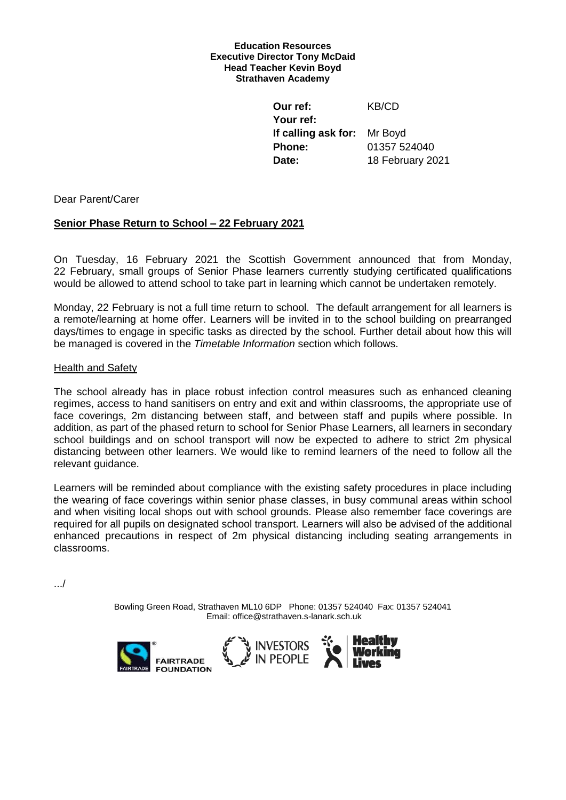#### **Education Resources Executive Director Tony McDaid Head Teacher Kevin Boyd Strathaven Academy**

**Our ref:** KB/CD **Your ref: If calling ask for:** Mr Boyd **Phone:** 01357 524040 **Date:** 18 February 2021

Dear Parent/Carer

# **Senior Phase Return to School – 22 February 2021**

On Tuesday, 16 February 2021 the Scottish Government announced that from Monday, 22 February, small groups of Senior Phase learners currently studying certificated qualifications would be allowed to attend school to take part in learning which cannot be undertaken remotely.

Monday, 22 February is not a full time return to school. The default arrangement for all learners is a remote/learning at home offer. Learners will be invited in to the school building on prearranged days/times to engage in specific tasks as directed by the school. Further detail about how this will be managed is covered in the *Timetable Information* section which follows.

## Health and Safety

The school already has in place robust infection control measures such as enhanced cleaning regimes, access to hand sanitisers on entry and exit and within classrooms, the appropriate use of face coverings, 2m distancing between staff, and between staff and pupils where possible. In addition, as part of the phased return to school for Senior Phase Learners, all learners in secondary school buildings and on school transport will now be expected to adhere to strict 2m physical distancing between other learners. We would like to remind learners of the need to follow all the relevant guidance.

Learners will be reminded about compliance with the existing safety procedures in place including the wearing of face coverings within senior phase classes, in busy communal areas within school and when visiting local shops out with school grounds. Please also remember face coverings are required for all pupils on designated school transport. Learners will also be advised of the additional enhanced precautions in respect of 2m physical distancing including seating arrangements in classrooms.

.../

Bowling Green Road, Strathaven ML10 6DP Phone: 01357 524040 Fax: 01357 524041 Email: office@strathaven.s-lanark.sch.uk